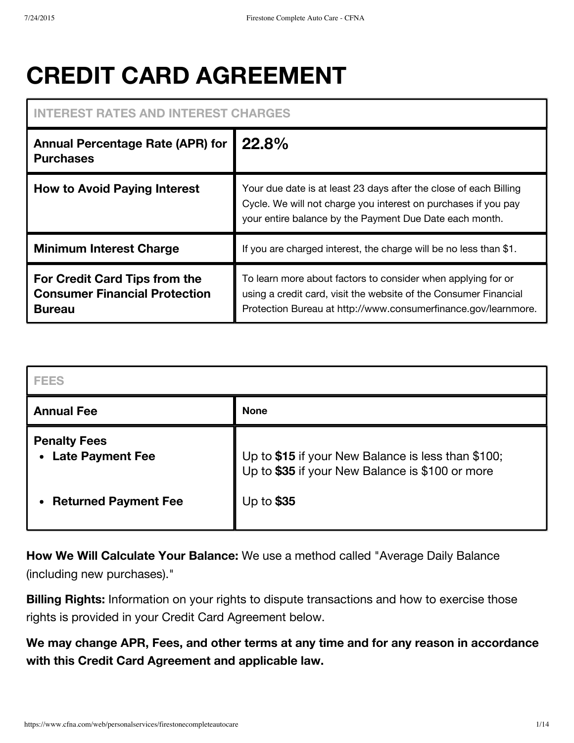# **CREDIT CARD AGREEMENT**

# **INTEREST RATES AND INTEREST CHARGES**

| <b>Annual Percentage Rate (APR) for</b><br><b>Purchases</b>                            | 22.8%                                                                                                                                                                                              |
|----------------------------------------------------------------------------------------|----------------------------------------------------------------------------------------------------------------------------------------------------------------------------------------------------|
| <b>How to Avoid Paying Interest</b>                                                    | Your due date is at least 23 days after the close of each Billing<br>Cycle. We will not charge you interest on purchases if you pay<br>your entire balance by the Payment Due Date each month.     |
| <b>Minimum Interest Charge</b>                                                         | If you are charged interest, the charge will be no less than \$1.                                                                                                                                  |
| For Credit Card Tips from the<br><b>Consumer Financial Protection</b><br><b>Bureau</b> | To learn more about factors to consider when applying for or<br>using a credit card, visit the website of the Consumer Financial<br>Protection Bureau at http://www.consumerfinance.gov/learnmore. |

| FEES                                           |                                                                                                       |
|------------------------------------------------|-------------------------------------------------------------------------------------------------------|
| <b>Annual Fee</b>                              | <b>None</b>                                                                                           |
| <b>Penalty Fees</b><br><b>Late Payment Fee</b> | Up to \$15 if your New Balance is less than \$100;<br>Up to \$35 if your New Balance is \$100 or more |
| <b>Returned Payment Fee</b>                    | Up to \$35                                                                                            |

**How We Will Calculate Your Balance:** We use a method called "Average Daily Balance (including new purchases)."

**Billing Rights:** Information on your rights to dispute transactions and how to exercise those rights is provided in your Credit Card Agreement below.

**We may change APR, Fees, and other terms at any time and for any reason in accordance with this Credit Card Agreement and applicable law.**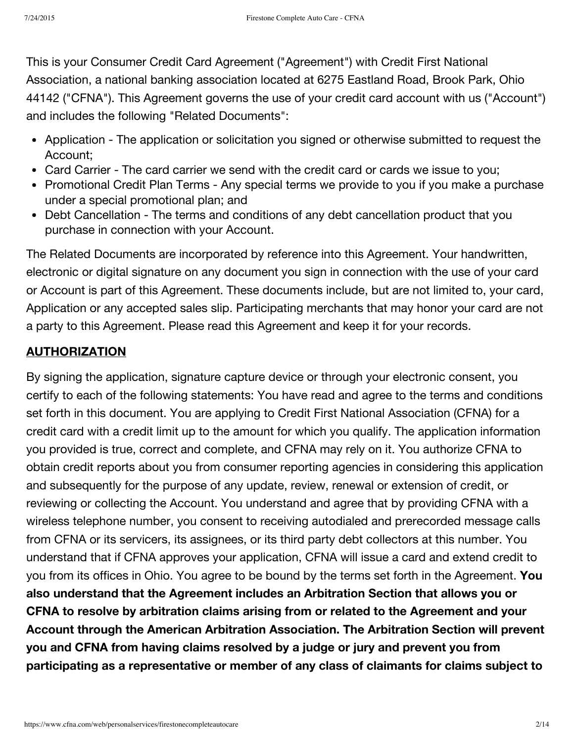This is your Consumer Credit Card Agreement ("Agreement") with Credit First National Association, a national banking association located at 6275 Eastland Road, Brook Park, Ohio 44142 ("CFNA"). This Agreement governs the use of your credit card account with us ("Account") and includes the following "Related Documents":

- Application The application or solicitation you signed or otherwise submitted to request the Account;
- Card Carrier The card carrier we send with the credit card or cards we issue to you;
- Promotional Credit Plan Terms Any special terms we provide to you if you make a purchase under a special promotional plan; and
- Debt Cancellation The terms and conditions of any debt cancellation product that you purchase in connection with your Account.

The Related Documents are incorporated by reference into this Agreement. Your handwritten, electronic or digital signature on any document you sign in connection with the use of your card or Account is part of this Agreement. These documents include, but are not limited to, your card, Application or any accepted sales slip. Participating merchants that may honor your card are not a party to this Agreement. Please read this Agreement and keep it for your records.

# **AUTHORIZATION**

By signing the application, signature capture device or through your electronic consent, you certify to each of the following statements: You have read and agree to the terms and conditions set forth in this document. You are applying to Credit First National Association (CFNA) for a credit card with a credit limit up to the amount for which you qualify. The application information you provided is true, correct and complete, and CFNA may rely on it. You authorize CFNA to obtain credit reports about you from consumer reporting agencies in considering this application and subsequently for the purpose of any update, review, renewal or extension of credit, or reviewing or collecting the Account. You understand and agree that by providing CFNA with a wireless telephone number, you consent to receiving autodialed and prerecorded message calls from CFNA or its servicers, its assignees, or its third party debt collectors at this number. You understand that if CFNA approves your application, CFNA will issue a card and extend credit to you from its offices in Ohio. You agree to be bound by the terms set forth in the Agreement. **You also understand that the Agreement includes an Arbitration Section that allows you or CFNA to resolve by arbitration claims arising from or related to the Agreement and your Account through the American Arbitration Association. The Arbitration Section will prevent you and CFNA from having claims resolved by a judge or jury and prevent you from participating as a representative or member of any class of claimants for claims subject to**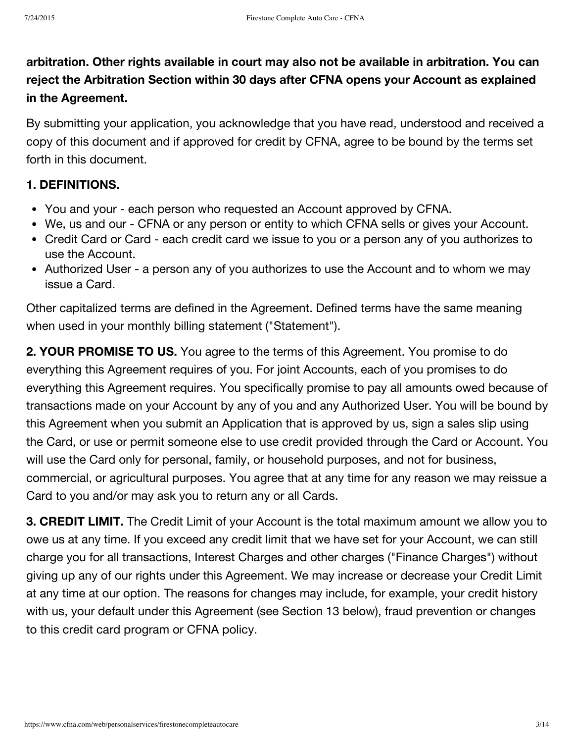**arbitration. Other rights available in court may also not be available in arbitration. You can reject the Arbitration Section within 30 days after CFNA opens your Account as explained in the Agreement.**

By submitting your application, you acknowledge that you have read, understood and received a copy of this document and if approved for credit by CFNA, agree to be bound by the terms set forth in this document.

#### **1. DEFINITIONS.**

- You and your each person who requested an Account approved by CFNA.
- We, us and our CFNA or any person or entity to which CFNA sells or gives your Account.
- Credit Card or Card each credit card we issue to you or a person any of you authorizes to use the Account.
- Authorized User a person any of you authorizes to use the Account and to whom we may issue a Card.

Other capitalized terms are defined in the Agreement. Defined terms have the same meaning when used in your monthly billing statement ("Statement").

**2. YOUR PROMISE TO US.** You agree to the terms of this Agreement. You promise to do everything this Agreement requires of you. For joint Accounts, each of you promises to do everything this Agreement requires. You specifically promise to pay all amounts owed because of transactions made on your Account by any of you and any Authorized User. You will be bound by this Agreement when you submit an Application that is approved by us, sign a sales slip using the Card, or use or permit someone else to use credit provided through the Card or Account. You will use the Card only for personal, family, or household purposes, and not for business, commercial, or agricultural purposes. You agree that at any time for any reason we may reissue a Card to you and/or may ask you to return any or all Cards.

**3. CREDIT LIMIT.** The Credit Limit of your Account is the total maximum amount we allow you to owe us at any time. If you exceed any credit limit that we have set for your Account, we can still charge you for all transactions, Interest Charges and other charges ("Finance Charges") without giving up any of our rights under this Agreement. We may increase or decrease your Credit Limit at any time at our option. The reasons for changes may include, for example, your credit history with us, your default under this Agreement (see Section 13 below), fraud prevention or changes to this credit card program or CFNA policy.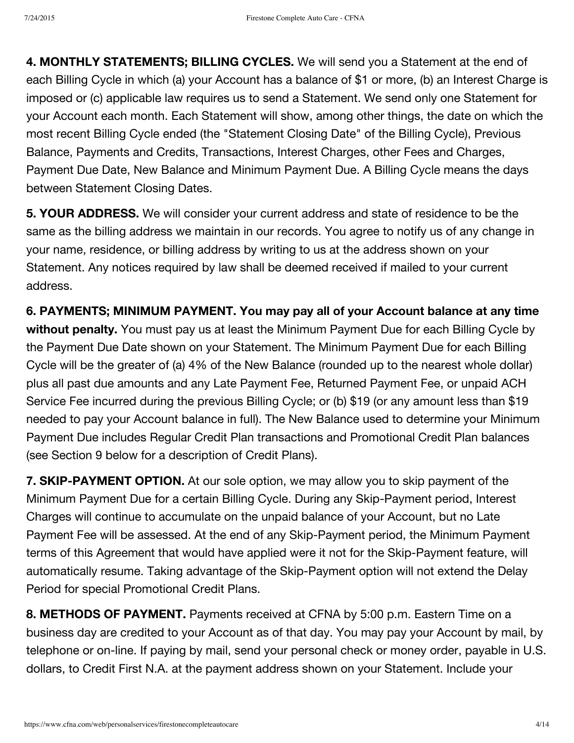**4. MONTHLY STATEMENTS; BILLING CYCLES.** We will send you a Statement at the end of each Billing Cycle in which (a) your Account has a balance of \$1 or more, (b) an Interest Charge is imposed or (c) applicable law requires us to send a Statement. We send only one Statement for your Account each month. Each Statement will show, among other things, the date on which the most recent Billing Cycle ended (the "Statement Closing Date" of the Billing Cycle), Previous Balance, Payments and Credits, Transactions, Interest Charges, other Fees and Charges, Payment Due Date, New Balance and Minimum Payment Due. A Billing Cycle means the days between Statement Closing Dates.

**5. YOUR ADDRESS.** We will consider your current address and state of residence to be the same as the billing address we maintain in our records. You agree to notify us of any change in your name, residence, or billing address by writing to us at the address shown on your Statement. Any notices required by law shall be deemed received if mailed to your current address.

**6. PAYMENTS; MINIMUM PAYMENT. You may pay all of your Account balance at any time without penalty.** You must pay us at least the Minimum Payment Due for each Billing Cycle by the Payment Due Date shown on your Statement. The Minimum Payment Due for each Billing Cycle will be the greater of (a) 4% of the New Balance (rounded up to the nearest whole dollar) plus all past due amounts and any Late Payment Fee, Returned Payment Fee, or unpaid ACH Service Fee incurred during the previous Billing Cycle; or (b) \$19 (or any amount less than \$19 needed to pay your Account balance in full). The New Balance used to determine your Minimum Payment Due includes Regular Credit Plan transactions and Promotional Credit Plan balances (see Section 9 below for a description of Credit Plans).

**7. SKIP-PAYMENT OPTION.** At our sole option, we may allow you to skip payment of the Minimum Payment Due for a certain Billing Cycle. During any Skip-Payment period, Interest Charges will continue to accumulate on the unpaid balance of your Account, but no Late Payment Fee will be assessed. At the end of any Skip-Payment period, the Minimum Payment terms of this Agreement that would have applied were it not for the Skip-Payment feature, will automatically resume. Taking advantage of the Skip-Payment option will not extend the Delay Period for special Promotional Credit Plans.

**8. METHODS OF PAYMENT.** Payments received at CFNA by 5:00 p.m. Eastern Time on a business day are credited to your Account as of that day. You may pay your Account by mail, by telephone or on-line. If paying by mail, send your personal check or money order, payable in U.S. dollars, to Credit First N.A. at the payment address shown on your Statement. Include your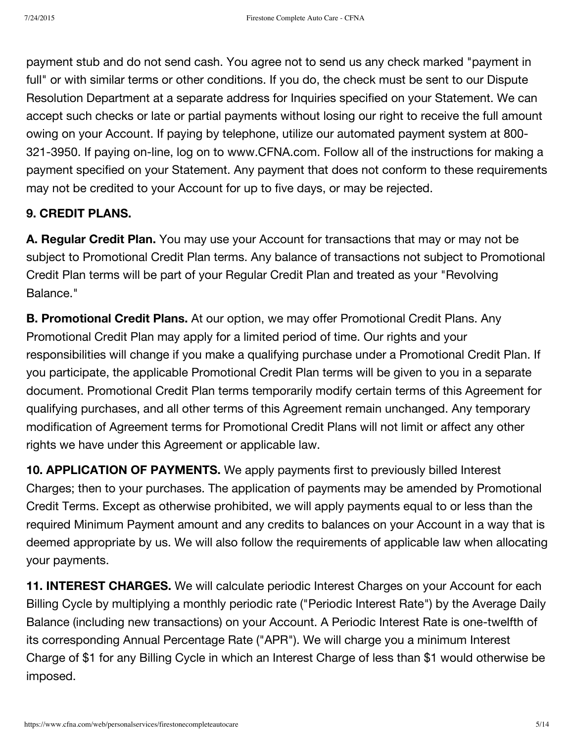payment stub and do not send cash. You agree not to send us any check marked "payment in full" or with similar terms or other conditions. If you do, the check must be sent to our Dispute Resolution Department at a separate address for Inquiries specified on your Statement. We can accept such checks or late or partial payments without losing our right to receive the full amount owing on your Account. If paying by telephone, utilize our automated payment system at 800- 321-3950. If paying on-line, log on to www.CFNA.com. Follow all of the instructions for making a payment specified on your Statement. Any payment that does not conform to these requirements may not be credited to your Account for up to five days, or may be rejected.

## **9. CREDIT PLANS.**

**A. Regular Credit Plan.** You may use your Account for transactions that may or may not be subject to Promotional Credit Plan terms. Any balance of transactions not subject to Promotional Credit Plan terms will be part of your Regular Credit Plan and treated as your "Revolving Balance."

**B. Promotional Credit Plans.** At our option, we may offer Promotional Credit Plans. Any Promotional Credit Plan may apply for a limited period of time. Our rights and your responsibilities will change if you make a qualifying purchase under a Promotional Credit Plan. If you participate, the applicable Promotional Credit Plan terms will be given to you in a separate document. Promotional Credit Plan terms temporarily modify certain terms of this Agreement for qualifying purchases, and all other terms of this Agreement remain unchanged. Any temporary modification of Agreement terms for Promotional Credit Plans will not limit or affect any other rights we have under this Agreement or applicable law.

**10. APPLICATION OF PAYMENTS.** We apply payments first to previously billed Interest Charges; then to your purchases. The application of payments may be amended by Promotional Credit Terms. Except as otherwise prohibited, we will apply payments equal to or less than the required Minimum Payment amount and any credits to balances on your Account in a way that is deemed appropriate by us. We will also follow the requirements of applicable law when allocating your payments.

**11. INTEREST CHARGES.** We will calculate periodic Interest Charges on your Account for each Billing Cycle by multiplying a monthly periodic rate ("Periodic Interest Rate") by the Average Daily Balance (including new transactions) on your Account. A Periodic Interest Rate is one-twelfth of its corresponding Annual Percentage Rate ("APR"). We will charge you a minimum Interest Charge of \$1 for any Billing Cycle in which an Interest Charge of less than \$1 would otherwise be imposed.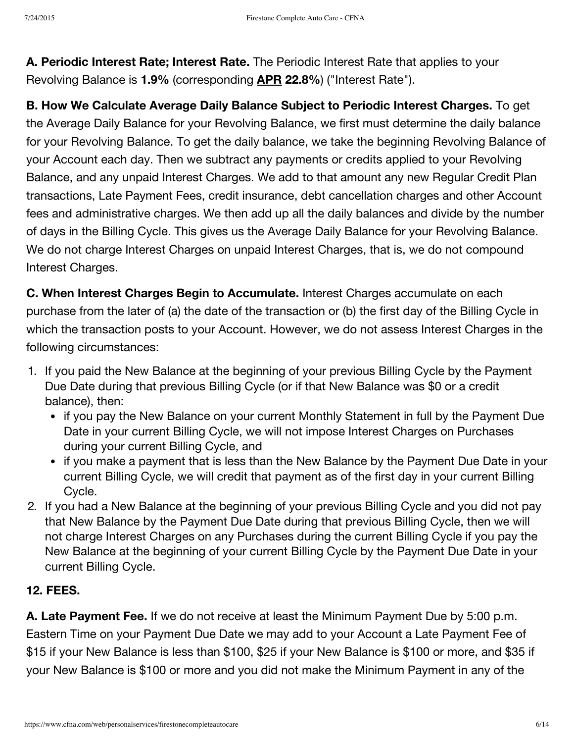**A. Periodic Interest Rate; Interest Rate.** The Periodic Interest Rate that applies to your Revolving Balance is **1.9%** (corresponding **APR 22.8%**) ("Interest Rate").

**B. How We Calculate Average Daily Balance Subject to Periodic Interest Charges.** To get the Average Daily Balance for your Revolving Balance, we first must determine the daily balance for your Revolving Balance. To get the daily balance, we take the beginning Revolving Balance of your Account each day. Then we subtract any payments or credits applied to your Revolving Balance, and any unpaid Interest Charges. We add to that amount any new Regular Credit Plan transactions, Late Payment Fees, credit insurance, debt cancellation charges and other Account fees and administrative charges. We then add up all the daily balances and divide by the number of days in the Billing Cycle. This gives us the Average Daily Balance for your Revolving Balance. We do not charge Interest Charges on unpaid Interest Charges, that is, we do not compound Interest Charges.

**C. When Interest Charges Begin to Accumulate.** Interest Charges accumulate on each purchase from the later of (a) the date of the transaction or (b) the first day of the Billing Cycle in which the transaction posts to your Account. However, we do not assess Interest Charges in the following circumstances:

- 1. If you paid the New Balance at the beginning of your previous Billing Cycle by the Payment Due Date during that previous Billing Cycle (or if that New Balance was \$0 or a credit balance), then:
	- if you pay the New Balance on your current Monthly Statement in full by the Payment Due Date in your current Billing Cycle, we will not impose Interest Charges on Purchases during your current Billing Cycle, and
	- if you make a payment that is less than the New Balance by the Payment Due Date in your current Billing Cycle, we will credit that payment as of the first day in your current Billing Cycle.
- 2. If you had a New Balance at the beginning of your previous Billing Cycle and you did not pay that New Balance by the Payment Due Date during that previous Billing Cycle, then we will not charge Interest Charges on any Purchases during the current Billing Cycle if you pay the New Balance at the beginning of your current Billing Cycle by the Payment Due Date in your current Billing Cycle.

# **12. FEES.**

**A. Late Payment Fee.** If we do not receive at least the Minimum Payment Due by 5:00 p.m. Eastern Time on your Payment Due Date we may add to your Account a Late Payment Fee of \$15 if your New Balance is less than \$100, \$25 if your New Balance is \$100 or more, and \$35 if your New Balance is \$100 or more and you did not make the Minimum Payment in any of the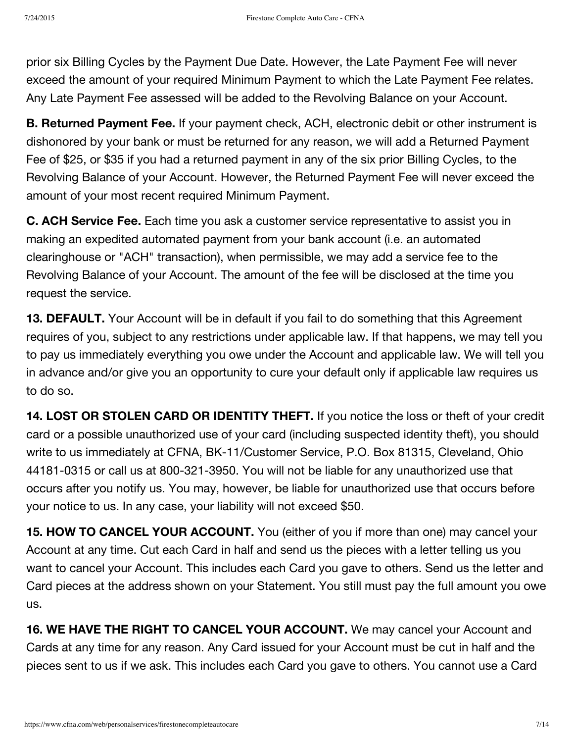prior six Billing Cycles by the Payment Due Date. However, the Late Payment Fee will never exceed the amount of your required Minimum Payment to which the Late Payment Fee relates. Any Late Payment Fee assessed will be added to the Revolving Balance on your Account.

**B. Returned Payment Fee.** If your payment check, ACH, electronic debit or other instrument is dishonored by your bank or must be returned for any reason, we will add a Returned Payment Fee of \$25, or \$35 if you had a returned payment in any of the six prior Billing Cycles, to the Revolving Balance of your Account. However, the Returned Payment Fee will never exceed the amount of your most recent required Minimum Payment.

**C. ACH Service Fee.** Each time you ask a customer service representative to assist you in making an expedited automated payment from your bank account (i.e. an automated clearinghouse or "ACH" transaction), when permissible, we may add a service fee to the Revolving Balance of your Account. The amount of the fee will be disclosed at the time you request the service.

**13. DEFAULT.** Your Account will be in default if you fail to do something that this Agreement requires of you, subject to any restrictions under applicable law. If that happens, we may tell you to pay us immediately everything you owe under the Account and applicable law. We will tell you in advance and/or give you an opportunity to cure your default only if applicable law requires us to do so.

**14. LOST OR STOLEN CARD OR IDENTITY THEFT.** If you notice the loss or theft of your credit card or a possible unauthorized use of your card (including suspected identity theft), you should write to us immediately at CFNA, BK-11/Customer Service, P.O. Box 81315, Cleveland, Ohio 44181-0315 or call us at 800-321-3950. You will not be liable for any unauthorized use that occurs after you notify us. You may, however, be liable for unauthorized use that occurs before your notice to us. In any case, your liability will not exceed \$50.

**15. HOW TO CANCEL YOUR ACCOUNT.** You (either of you if more than one) may cancel your Account at any time. Cut each Card in half and send us the pieces with a letter telling us you want to cancel your Account. This includes each Card you gave to others. Send us the letter and Card pieces at the address shown on your Statement. You still must pay the full amount you owe us.

**16. WE HAVE THE RIGHT TO CANCEL YOUR ACCOUNT.** We may cancel your Account and Cards at any time for any reason. Any Card issued for your Account must be cut in half and the pieces sent to us if we ask. This includes each Card you gave to others. You cannot use a Card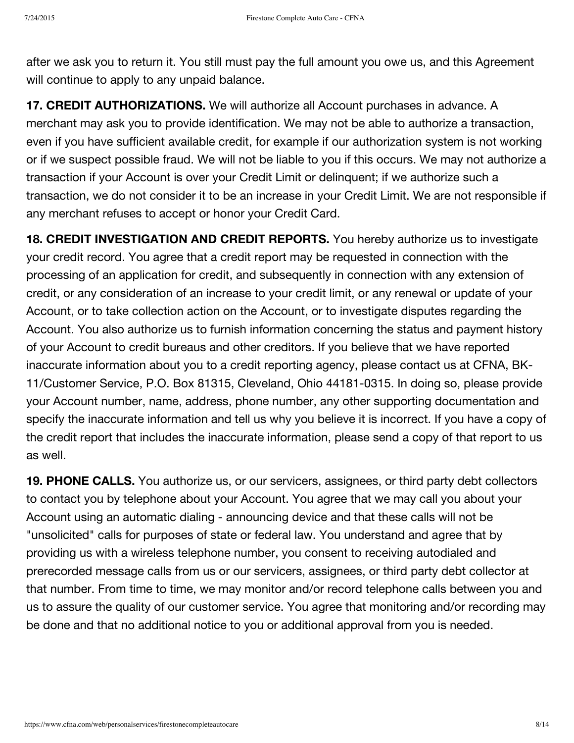after we ask you to return it. You still must pay the full amount you owe us, and this Agreement will continue to apply to any unpaid balance.

**17. CREDIT AUTHORIZATIONS.** We will authorize all Account purchases in advance. A merchant may ask you to provide identification. We may not be able to authorize a transaction, even if you have sufficient available credit, for example if our authorization system is not working or if we suspect possible fraud. We will not be liable to you if this occurs. We may not authorize a transaction if your Account is over your Credit Limit or delinquent; if we authorize such a transaction, we do not consider it to be an increase in your Credit Limit. We are not responsible if any merchant refuses to accept or honor your Credit Card.

**18. CREDIT INVESTIGATION AND CREDIT REPORTS.** You hereby authorize us to investigate your credit record. You agree that a credit report may be requested in connection with the processing of an application for credit, and subsequently in connection with any extension of credit, or any consideration of an increase to your credit limit, or any renewal or update of your Account, or to take collection action on the Account, or to investigate disputes regarding the Account. You also authorize us to furnish information concerning the status and payment history of your Account to credit bureaus and other creditors. If you believe that we have reported inaccurate information about you to a credit reporting agency, please contact us at CFNA, BK-11/Customer Service, P.O. Box 81315, Cleveland, Ohio 44181-0315. In doing so, please provide your Account number, name, address, phone number, any other supporting documentation and specify the inaccurate information and tell us why you believe it is incorrect. If you have a copy of the credit report that includes the inaccurate information, please send a copy of that report to us as well.

**19. PHONE CALLS.** You authorize us, or our servicers, assignees, or third party debt collectors to contact you by telephone about your Account. You agree that we may call you about your Account using an automatic dialing - announcing device and that these calls will not be "unsolicited" calls for purposes of state or federal law. You understand and agree that by providing us with a wireless telephone number, you consent to receiving autodialed and prerecorded message calls from us or our servicers, assignees, or third party debt collector at that number. From time to time, we may monitor and/or record telephone calls between you and us to assure the quality of our customer service. You agree that monitoring and/or recording may be done and that no additional notice to you or additional approval from you is needed.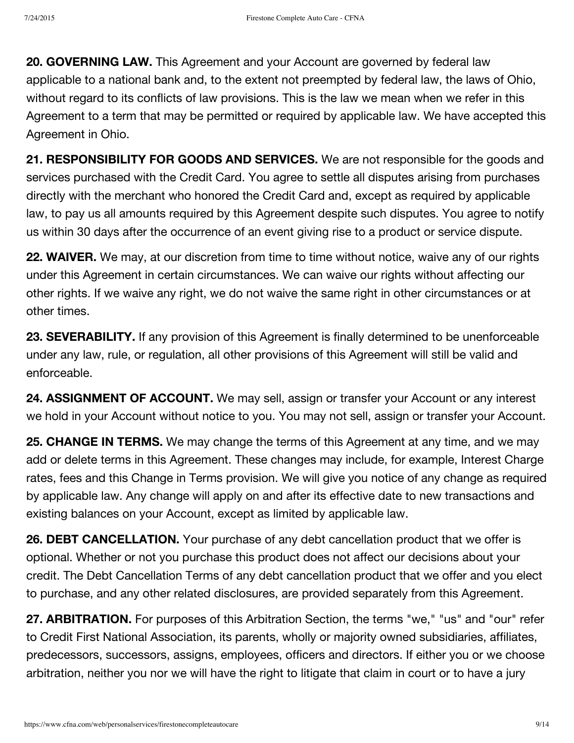**20. GOVERNING LAW.** This Agreement and your Account are governed by federal law applicable to a national bank and, to the extent not preempted by federal law, the laws of Ohio, without regard to its conflicts of law provisions. This is the law we mean when we refer in this Agreement to a term that may be permitted or required by applicable law. We have accepted this Agreement in Ohio.

**21. RESPONSIBILITY FOR GOODS AND SERVICES.** We are not responsible for the goods and services purchased with the Credit Card. You agree to settle all disputes arising from purchases directly with the merchant who honored the Credit Card and, except as required by applicable law, to pay us all amounts required by this Agreement despite such disputes. You agree to notify us within 30 days after the occurrence of an event giving rise to a product or service dispute.

**22. WAIVER.** We may, at our discretion from time to time without notice, waive any of our rights under this Agreement in certain circumstances. We can waive our rights without affecting our other rights. If we waive any right, we do not waive the same right in other circumstances or at other times.

**23. SEVERABILITY.** If any provision of this Agreement is finally determined to be unenforceable under any law, rule, or regulation, all other provisions of this Agreement will still be valid and enforceable.

**24. ASSIGNMENT OF ACCOUNT.** We may sell, assign or transfer your Account or any interest we hold in your Account without notice to you. You may not sell, assign or transfer your Account.

**25. CHANGE IN TERMS.** We may change the terms of this Agreement at any time, and we may add or delete terms in this Agreement. These changes may include, for example, Interest Charge rates, fees and this Change in Terms provision. We will give you notice of any change as required by applicable law. Any change will apply on and after its effective date to new transactions and existing balances on your Account, except as limited by applicable law.

**26. DEBT CANCELLATION.** Your purchase of any debt cancellation product that we offer is optional. Whether or not you purchase this product does not affect our decisions about your credit. The Debt Cancellation Terms of any debt cancellation product that we offer and you elect to purchase, and any other related disclosures, are provided separately from this Agreement.

**27. ARBITRATION.** For purposes of this Arbitration Section, the terms "we," "us" and "our" refer to Credit First National Association, its parents, wholly or majority owned subsidiaries, affiliates, predecessors, successors, assigns, employees, officers and directors. If either you or we choose arbitration, neither you nor we will have the right to litigate that claim in court or to have a jury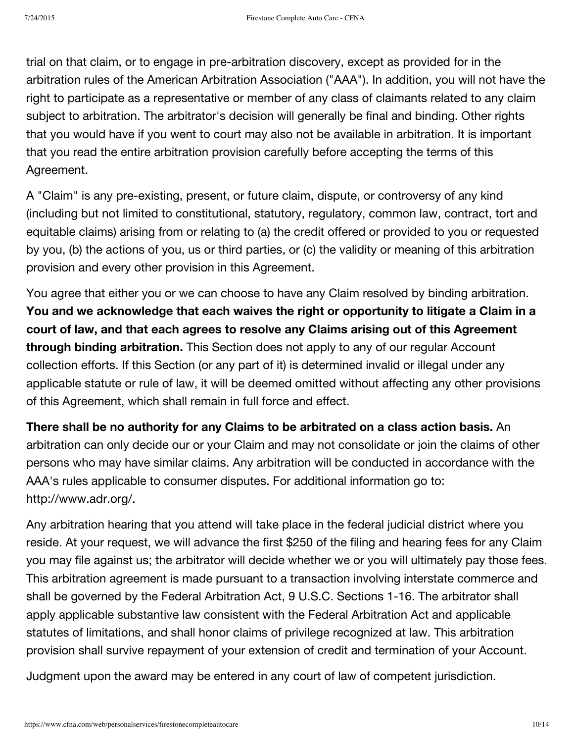trial on that claim, or to engage in pre-arbitration discovery, except as provided for in the arbitration rules of the American Arbitration Association ("AAA"). In addition, you will not have the right to participate as a representative or member of any class of claimants related to any claim subject to arbitration. The arbitrator's decision will generally be final and binding. Other rights that you would have if you went to court may also not be available in arbitration. It is important that you read the entire arbitration provision carefully before accepting the terms of this Agreement.

A "Claim" is any pre-existing, present, or future claim, dispute, or controversy of any kind (including but not limited to constitutional, statutory, regulatory, common law, contract, tort and equitable claims) arising from or relating to (a) the credit offered or provided to you or requested by you, (b) the actions of you, us or third parties, or (c) the validity or meaning of this arbitration provision and every other provision in this Agreement.

You agree that either you or we can choose to have any Claim resolved by binding arbitration. **You and we acknowledge that each waives the right or opportunity to litigate a Claim in a court of law, and that each agrees to resolve any Claims arising out of this Agreement through binding arbitration.** This Section does not apply to any of our regular Account collection efforts. If this Section (or any part of it) is determined invalid or illegal under any applicable statute or rule of law, it will be deemed omitted without affecting any other provisions of this Agreement, which shall remain in full force and effect.

**There shall be no authority for any Claims to be arbitrated on a class action basis.** An arbitration can only decide our or your Claim and may not consolidate or join the claims of other persons who may have similar claims. Any arbitration will be conducted in accordance with the AAA's rules applicable to consumer disputes. For additional information go to: http://www.adr.org/.

Any arbitration hearing that you attend will take place in the federal judicial district where you reside. At your request, we will advance the first \$250 of the filing and hearing fees for any Claim you may file against us; the arbitrator will decide whether we or you will ultimately pay those fees. This arbitration agreement is made pursuant to a transaction involving interstate commerce and shall be governed by the Federal Arbitration Act, 9 U.S.C. Sections 1-16. The arbitrator shall apply applicable substantive law consistent with the Federal Arbitration Act and applicable statutes of limitations, and shall honor claims of privilege recognized at law. This arbitration provision shall survive repayment of your extension of credit and termination of your Account.

Judgment upon the award may be entered in any court of law of competent jurisdiction.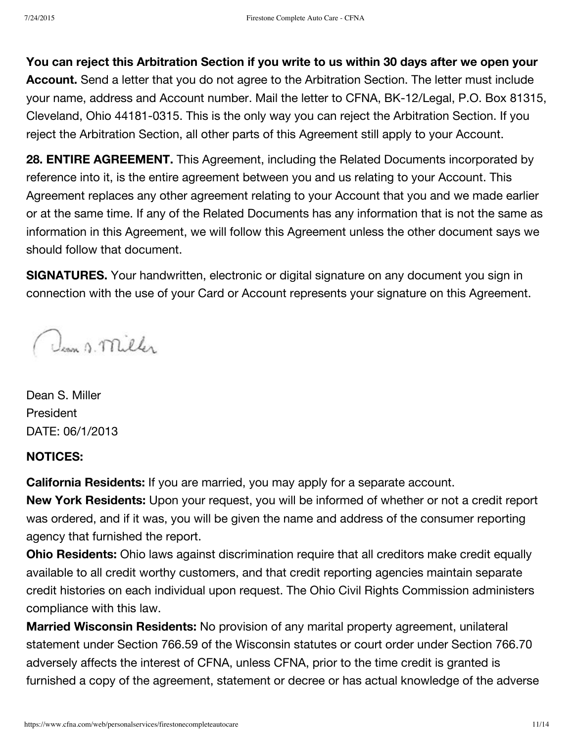**You can reject this Arbitration Section if you write to us within 30 days after we open your Account.** Send a letter that you do not agree to the Arbitration Section. The letter must include your name, address and Account number. Mail the letter to CFNA, BK-12/Legal, P.O. Box 81315, Cleveland, Ohio 44181-0315. This is the only way you can reject the Arbitration Section. If you reject the Arbitration Section, all other parts of this Agreement still apply to your Account.

**28. ENTIRE AGREEMENT.** This Agreement, including the Related Documents incorporated by reference into it, is the entire agreement between you and us relating to your Account. This Agreement replaces any other agreement relating to your Account that you and we made earlier or at the same time. If any of the Related Documents has any information that is not the same as information in this Agreement, we will follow this Agreement unless the other document says we should follow that document.

**SIGNATURES.** Your handwritten, electronic or digital signature on any document you sign in connection with the use of your Card or Account represents your signature on this Agreement.

Dean s. Miller

Dean S. Miller President DATE: 06/1/2013

#### **NOTICES:**

**California Residents:** If you are married, you may apply for a separate account.

**New York Residents:** Upon your request, you will be informed of whether or not a credit report was ordered, and if it was, you will be given the name and address of the consumer reporting agency that furnished the report.

**Ohio Residents:** Ohio laws against discrimination require that all creditors make credit equally available to all credit worthy customers, and that credit reporting agencies maintain separate credit histories on each individual upon request. The Ohio Civil Rights Commission administers compliance with this law.

**Married Wisconsin Residents:** No provision of any marital property agreement, unilateral statement under Section 766.59 of the Wisconsin statutes or court order under Section 766.70 adversely affects the interest of CFNA, unless CFNA, prior to the time credit is granted is furnished a copy of the agreement, statement or decree or has actual knowledge of the adverse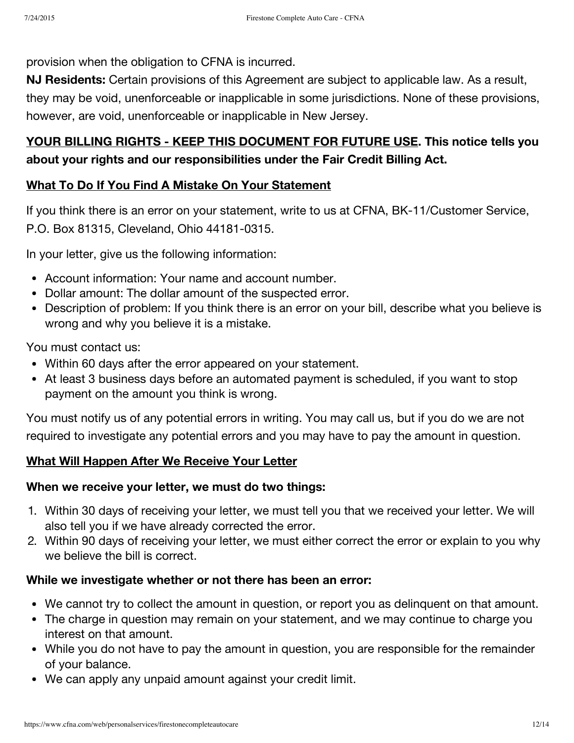provision when the obligation to CFNA is incurred.

**NJ Residents:** Certain provisions of this Agreement are subject to applicable law. As a result, they may be void, unenforceable or inapplicable in some jurisdictions. None of these provisions, however, are void, unenforceable or inapplicable in New Jersey.

# **YOUR BILLING RIGHTS - KEEP THIS DOCUMENT FOR FUTURE USE. This notice tells you about your rights and our responsibilities under the Fair Credit Billing Act.**

# **What To Do If You Find A Mistake On Your Statement**

If you think there is an error on your statement, write to us at CFNA, BK-11/Customer Service, P.O. Box 81315, Cleveland, Ohio 44181-0315.

In your letter, give us the following information:

- Account information: Your name and account number.
- Dollar amount: The dollar amount of the suspected error.
- Description of problem: If you think there is an error on your bill, describe what you believe is wrong and why you believe it is a mistake.

You must contact us:

- Within 60 days after the error appeared on your statement.
- At least 3 business days before an automated payment is scheduled, if you want to stop payment on the amount you think is wrong.

You must notify us of any potential errors in writing. You may call us, but if you do we are not required to investigate any potential errors and you may have to pay the amount in question.

# **What Will Happen After We Receive Your Letter**

## **When we receive your letter, we must do two things:**

- 1. Within 30 days of receiving your letter, we must tell you that we received your letter. We will also tell you if we have already corrected the error.
- 2. Within 90 days of receiving your letter, we must either correct the error or explain to you why we believe the bill is correct.

## **While we investigate whether or not there has been an error:**

- We cannot try to collect the amount in question, or report you as delinquent on that amount.
- The charge in question may remain on your statement, and we may continue to charge you interest on that amount.
- While you do not have to pay the amount in question, you are responsible for the remainder of your balance.
- We can apply any unpaid amount against your credit limit.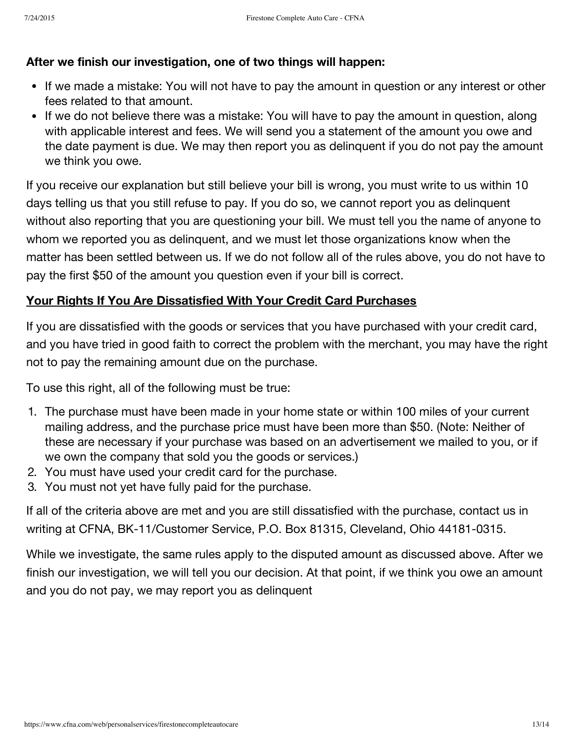## **After we finish our investigation, one of two things will happen:**

- If we made a mistake: You will not have to pay the amount in question or any interest or other fees related to that amount.
- If we do not believe there was a mistake: You will have to pay the amount in question, along with applicable interest and fees. We will send you a statement of the amount you owe and the date payment is due. We may then report you as delinquent if you do not pay the amount we think you owe.

If you receive our explanation but still believe your bill is wrong, you must write to us within 10 days telling us that you still refuse to pay. If you do so, we cannot report you as delinquent without also reporting that you are questioning your bill. We must tell you the name of anyone to whom we reported you as delinquent, and we must let those organizations know when the matter has been settled between us. If we do not follow all of the rules above, you do not have to pay the first \$50 of the amount you question even if your bill is correct.

## **Your Rights If You Are Dissatisfied With Your Credit Card Purchases**

If you are dissatisfied with the goods or services that you have purchased with your credit card, and you have tried in good faith to correct the problem with the merchant, you may have the right not to pay the remaining amount due on the purchase.

To use this right, all of the following must be true:

- 1. The purchase must have been made in your home state or within 100 miles of your current mailing address, and the purchase price must have been more than \$50. (Note: Neither of these are necessary if your purchase was based on an advertisement we mailed to you, or if we own the company that sold you the goods or services.)
- 2. You must have used your credit card for the purchase.
- 3. You must not yet have fully paid for the purchase.

If all of the criteria above are met and you are still dissatisfied with the purchase, contact us in writing at CFNA, BK-11/Customer Service, P.O. Box 81315, Cleveland, Ohio 44181-0315.

While we investigate, the same rules apply to the disputed amount as discussed above. After we finish our investigation, we will tell you our decision. At that point, if we think you owe an amount and you do not pay, we may report you as delinquent